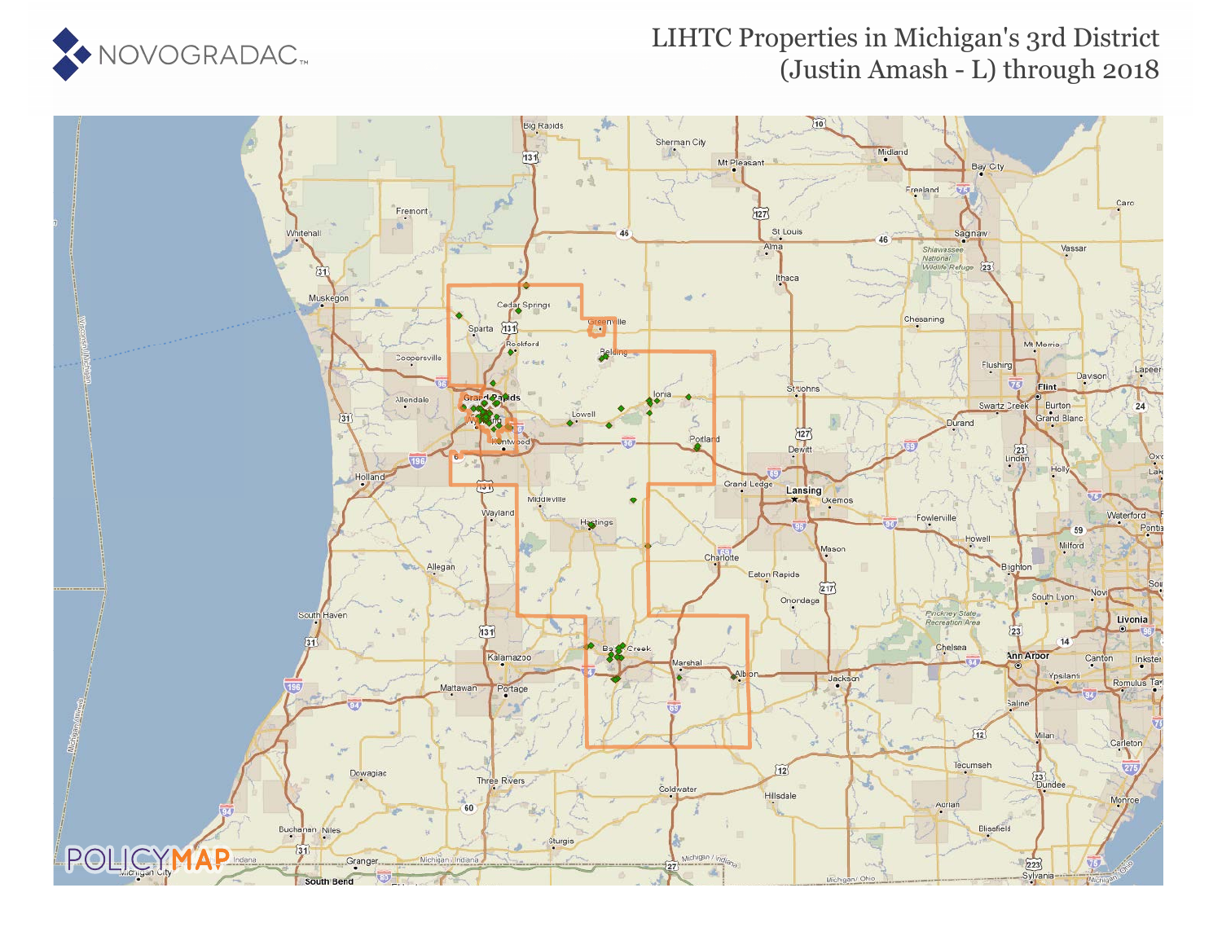

### LIHTC Properties in Michigan's 3rd District (Justin Amash - L) through 2018

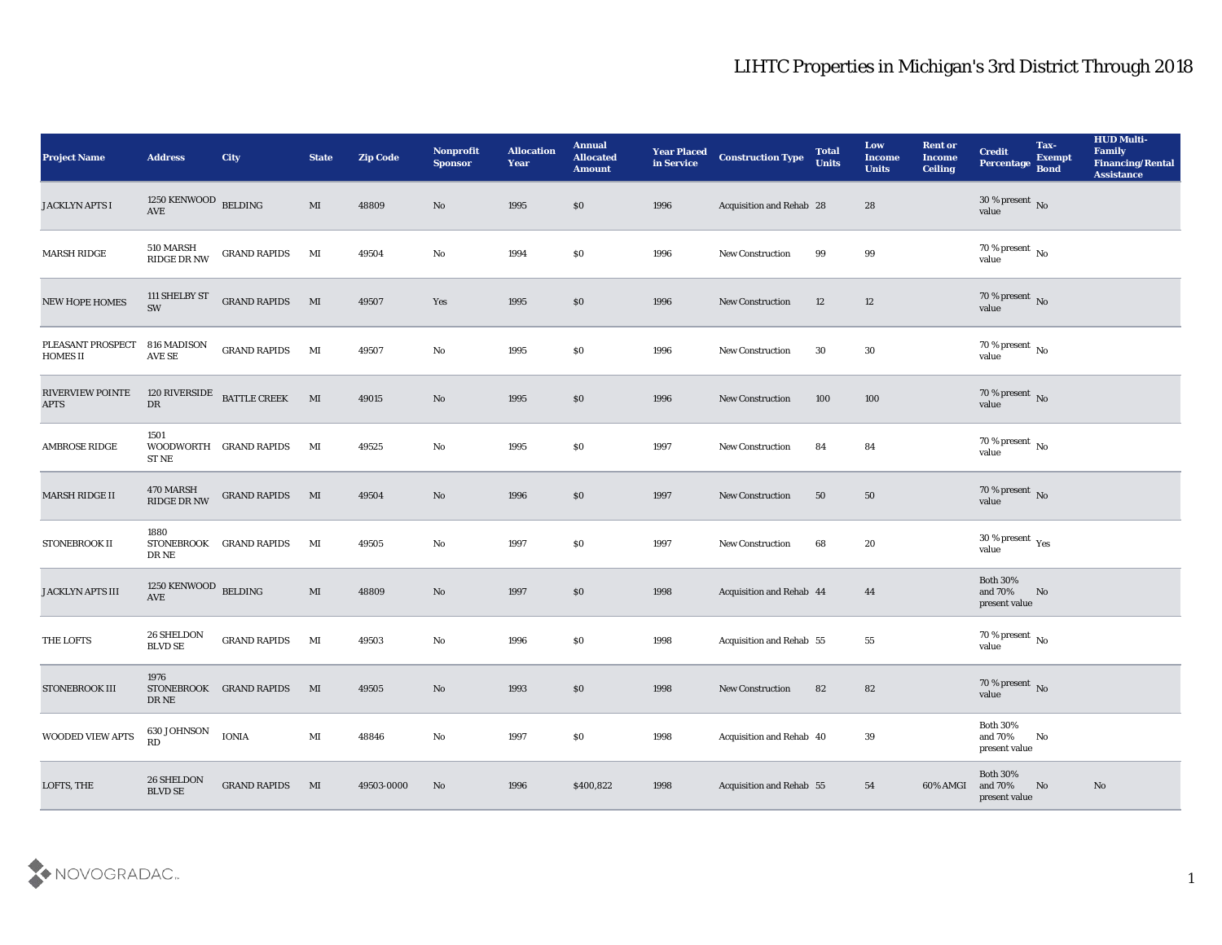| <b>Project Name</b>                    | <b>Address</b>                               | City                    | <b>State</b>           | <b>Zip Code</b> | Nonprofit<br><b>Sponsor</b> | <b>Allocation</b><br><b>Year</b> | <b>Annual</b><br><b>Allocated</b><br><b>Amount</b> | <b>Year Placed</b><br>in Service | <b>Construction Type</b>        | <b>Total</b><br><b>Units</b> | Low<br><b>Income</b><br><b>Units</b> | <b>Rent or</b><br><b>Income</b><br><b>Ceiling</b> | <b>Credit</b><br>Percentage                 | Tax-<br><b>Exempt</b><br><b>Bond</b> | <b>HUD Multi-</b><br>Family<br><b>Financing/Rental</b><br><b>Assistance</b> |
|----------------------------------------|----------------------------------------------|-------------------------|------------------------|-----------------|-----------------------------|----------------------------------|----------------------------------------------------|----------------------------------|---------------------------------|------------------------------|--------------------------------------|---------------------------------------------------|---------------------------------------------|--------------------------------------|-----------------------------------------------------------------------------|
| <b>JACKLYN APTS I</b>                  | 1250 KENWOOD $$\tt{BELDING}$$                |                         | MI                     | 48809           | No                          | 1995                             | $\$0$                                              | 1996                             | Acquisition and Rehab 28        |                              | 28                                   |                                                   | 30 % present $\,$ No $\,$<br>value          |                                      |                                                                             |
| <b>MARSH RIDGE</b>                     | 510 MARSH<br>RIDGE DR NW                     | <b>GRAND RAPIDS</b>     | MI                     | 49504           | No                          | 1994                             | $\$0$                                              | 1996                             | <b>New Construction</b>         | 99                           | 99                                   |                                                   | 70 % present No<br>value                    |                                      |                                                                             |
| NEW HOPE HOMES                         | 111 SHELBY ST<br>SW                          | <b>GRAND RAPIDS</b>     | M                      | 49507           | Yes                         | 1995                             | $\$0$                                              | 1996                             | <b>New Construction</b>         | 12                           | 12                                   |                                                   | $70\,\%$ present $\,$ No value              |                                      |                                                                             |
| PLEASANT PROSPECT<br><b>HOMES II</b>   | 816 MADISON<br>AVE SE                        | <b>GRAND RAPIDS</b>     | MI                     | 49507           | No                          | 1995                             | \$0\$                                              | 1996                             | New Construction                | 30                           | 30                                   |                                                   | $70\,\%$ present $\,$ No value              |                                      |                                                                             |
| <b>RIVERVIEW POINTE</b><br><b>APTS</b> | 120 RIVERSIDE<br>DR                          | <b>BATTLE CREEK</b>     | M                      | 49015           | $\mathbf{N}\mathbf{o}$      | 1995                             | \$0\$                                              | 1996                             | <b>New Construction</b>         | 100                          | 100                                  |                                                   | $70\,\%$ present $\,$ No $\,$ value         |                                      |                                                                             |
| <b>AMBROSE RIDGE</b>                   | 1501<br><b>ST NE</b>                         | WOODWORTH GRAND RAPIDS  | МI                     | 49525           | No                          | 1995                             | \$0\$                                              | 1997                             | <b>New Construction</b>         | 84                           | 84                                   |                                                   | $70\,\%$ present $\,$ No value              |                                      |                                                                             |
| <b>MARSH RIDGE II</b>                  | 470 MARSH<br><b>RIDGE DR NW</b>              | <b>GRAND RAPIDS</b>     | M                      | 49504           | No                          | 1996                             | \$0                                                | 1997                             | <b>New Construction</b>         | 50                           | 50                                   |                                                   | $70\,\%$ present $\,$ No value              |                                      |                                                                             |
| STONEBROOK II                          | 1880<br>STONEBROOK<br>DR NE                  | <b>GRAND RAPIDS</b>     | MI                     | 49505           | No                          | 1997                             | \$0\$                                              | 1997                             | New Construction                | 68                           | 20                                   |                                                   | $30\,\%$ present $\,$ Yes value             |                                      |                                                                             |
| <b>JACKLYN APTS III</b>                | 1250 KENWOOD BELDING<br>$\operatorname{AVE}$ |                         | MI                     | 48809           | $\mathbf{N}\mathbf{o}$      | 1997                             | \$0\$                                              | 1998                             | <b>Acquisition and Rehab 44</b> |                              | 44                                   |                                                   | <b>Both 30%</b><br>and 70%<br>present value | No                                   |                                                                             |
| THE LOFTS                              | 26 SHELDON<br><b>BLVD SE</b>                 | <b>GRAND RAPIDS</b>     | MI                     | 49503           | No                          | 1996                             | $\$0$                                              | 1998                             | Acquisition and Rehab 55        |                              | 55                                   |                                                   | $70\,\%$ present $\,$ No value              |                                      |                                                                             |
| STONEBROOK III                         | 1976<br>DR NE                                | STONEBROOK GRAND RAPIDS | $\mathbf{M}$           | 49505           | No                          | 1993                             | \$0\$                                              | 1998                             | <b>New Construction</b>         | 82                           | 82                                   |                                                   | $70\,\%$ present $\,$ No value              |                                      |                                                                             |
| WOODED VIEW APTS                       | 630 JOHNSON<br>RD                            | <b>IONIA</b>            | $\mathbf{M}\mathbf{I}$ | 48846           | $\mathbf {No}$              | 1997                             | $\$0$                                              | 1998                             | Acquisition and Rehab 40        |                              | $39\,$                               |                                                   | Both $30\%$<br>and $70\%$<br>present value  | No                                   |                                                                             |
| LOFTS, THE                             | $26\,$ SHELDON<br>$\operatorname{BLVD}$ SE   | <b>GRAND RAPIDS</b>     | MI                     | 49503-0000      | $\rm\thinspace No$          | 1996                             | \$400,822                                          | 1998                             | Acquisition and Rehab 55        |                              | 54                                   | 60% AMGI                                          | Both $30\%$<br>and 70%<br>present value     | No                                   | $\mathbf{N}\mathbf{o}$                                                      |

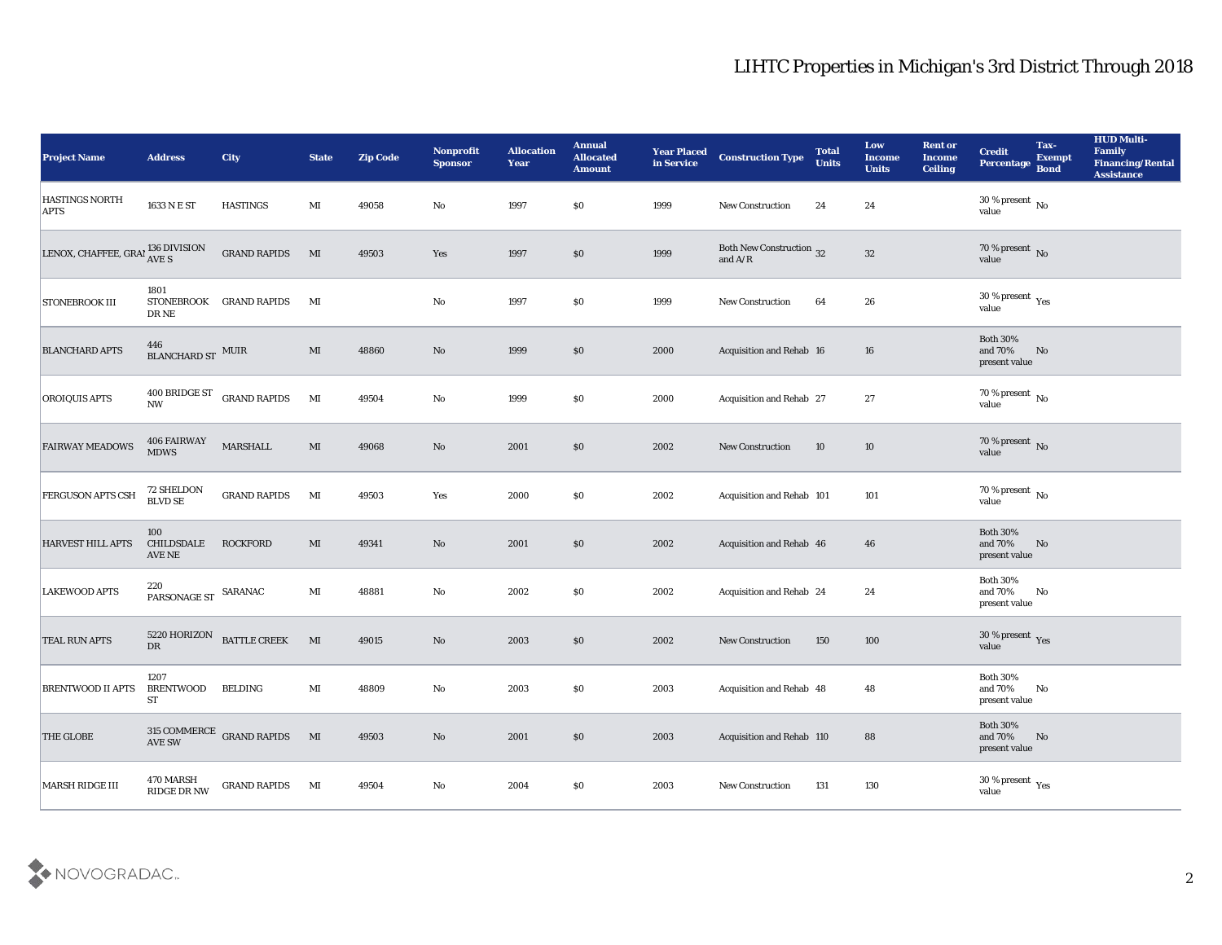| <b>Project Name</b>                  | <b>Address</b>                     | City                                                | <b>State</b>   | <b>Zip Code</b> | Nonprofit<br><b>Sponsor</b> | <b>Allocation</b><br><b>Year</b> | <b>Annual</b><br><b>Allocated</b><br><b>Amount</b> | <b>Year Placed</b><br>in Service | <b>Construction Type</b>                                                          | <b>Total</b><br><b>Units</b> | Low<br><b>Income</b><br><b>Units</b> | <b>Rent or</b><br><b>Income</b><br><b>Ceiling</b> | <b>Credit</b><br>Percentage                               | Tax-<br><b>Exempt</b><br><b>Bond</b> | <b>HUD Multi-</b><br>Family<br><b>Financing/Rental</b><br><b>Assistance</b> |
|--------------------------------------|------------------------------------|-----------------------------------------------------|----------------|-----------------|-----------------------------|----------------------------------|----------------------------------------------------|----------------------------------|-----------------------------------------------------------------------------------|------------------------------|--------------------------------------|---------------------------------------------------|-----------------------------------------------------------|--------------------------------------|-----------------------------------------------------------------------------|
| <b>HASTINGS NORTH</b><br><b>APTS</b> | 1633 N E ST                        | <b>HASTINGS</b>                                     | MI             | 49058           | No                          | 1997                             | $\$0$                                              | 1999                             | New Construction                                                                  | 24                           | 24                                   |                                                   | 30 % present $\,$ No $\,$<br>value                        |                                      |                                                                             |
| LENOX, CHAFFEE, GRAI 136 DIVISION    |                                    | <b>GRAND RAPIDS</b>                                 | MI             | 49503           | Yes                         | 1997                             | $\$0$                                              | 1999                             | Both New Construction 32<br>and $\ensuremath{\mathrm{A}}/\ensuremath{\mathrm{R}}$ |                              | 32                                   |                                                   | 70 % present $\sqrt{\ }$ No<br>value                      |                                      |                                                                             |
| <b>STONEBROOK III</b>                | 1801<br><b>STONEBROOK</b><br>DR NE | <b>GRAND RAPIDS</b>                                 | MI             |                 | No                          | 1997                             | \$0\$                                              | 1999                             | New Construction                                                                  | 64                           | 26                                   |                                                   | $30\,\%$ present $\,$ Yes value                           |                                      |                                                                             |
| <b>BLANCHARD APTS</b>                | $446$ BLANCHARD ST $\,$ MUIR $\,$  |                                                     | MI             | 48860           | No                          | 1999                             | \$0\$                                              | 2000                             | Acquisition and Rehab 16                                                          |                              | 16                                   |                                                   | <b>Both 30%</b><br>and $70\%$<br>present value            | No                                   |                                                                             |
| <b>OROIQUIS APTS</b>                 | 400 BRIDGE ST<br>$\mathbf{NW}$     | <b>GRAND RAPIDS</b>                                 | MI             | 49504           | $\mathbf {No}$              | 1999                             | \$0                                                | 2000                             | Acquisition and Rehab 27                                                          |                              | 27                                   |                                                   | $70\,\%$ present $\,$ No value                            |                                      |                                                                             |
| <b>FAIRWAY MEADOWS</b>               | 406 FAIRWAY<br><b>MDWS</b>         | <b>MARSHALL</b>                                     | MI             | 49068           | $\mathbf{N}\mathbf{o}$      | 2001                             | \$0                                                | 2002                             | <b>New Construction</b>                                                           | 10                           | 10                                   |                                                   | $70\,\%$ present $\,$ No value                            |                                      |                                                                             |
| <b>FERGUSON APTS CSH</b>             | 72 SHELDON<br><b>BLVD SE</b>       | <b>GRAND RAPIDS</b>                                 | $\mathbf{M}$   | 49503           | Yes                         | 2000                             | $\$0$                                              | 2002                             | Acquisition and Rehab 101                                                         |                              | 101                                  |                                                   | $70\,\%$ present $\,$ No value                            |                                      |                                                                             |
| <b>HARVEST HILL APTS</b>             | 100<br>CHILDSDALE<br>AVE NE        | <b>ROCKFORD</b>                                     | MI             | 49341           | No                          | 2001                             | \$0                                                | 2002                             | Acquisition and Rehab 46                                                          |                              | 46                                   |                                                   | <b>Both 30%</b><br>and $70\%$<br>present value            | No                                   |                                                                             |
| <b>LAKEWOOD APTS</b>                 | 220<br>PARSONAGE ST<br>SARANAC     |                                                     | $\mathbf{M}$ I | 48881           | No                          | 2002                             | \$0                                                | 2002                             | Acquisition and Rehab 24                                                          |                              | 24                                   |                                                   | <b>Both 30%</b><br>and 70%<br>present value               | No                                   |                                                                             |
| <b>TEAL RUN APTS</b>                 | 5220 HORIZON<br>${\rm D}{\rm R}$   | BATTLE CREEK                                        | MI             | 49015           | $\mathbf{N}\mathbf{o}$      | 2003                             | $\$0$                                              | 2002                             | <b>New Construction</b>                                                           | 150                          | 100                                  |                                                   | $30\,\%$ present $\,$ Yes value                           |                                      |                                                                             |
| <b>BRENTWOOD II APTS BRENTWOOD</b>   | 1207<br>ST                         | <b>BELDING</b>                                      | MI             | 48809           | No                          | 2003                             | \$0                                                | 2003                             | Acquisition and Rehab 48                                                          |                              | 48                                   |                                                   | <b>Both 30%</b><br>and 70%<br>present value               | No                                   |                                                                             |
| <b>THE GLOBE</b>                     |                                    | $315$ COMMERCE $\:$ GRAND RAPIDS $\qquad$ MI AVE SW |                | 49503           | $\mathbf {No}$              | 2001                             | $\$0$                                              | 2003                             | Acquisition and Rehab 110                                                         |                              | 88                                   |                                                   | <b>Both 30%</b><br>and $70\%$ $~$ No $~$<br>present value |                                      |                                                                             |
| MARSH RIDGE III                      | 470 MARSH<br>RIDGE DR NW           | <b>GRAND RAPIDS</b>                                 | MI             | 49504           | $\rm\thinspace No$          | 2004                             | \$0                                                | 2003                             | New Construction                                                                  | 131                          | 130                                  |                                                   | $30\,\%$ present $\,$ Yes value                           |                                      |                                                                             |

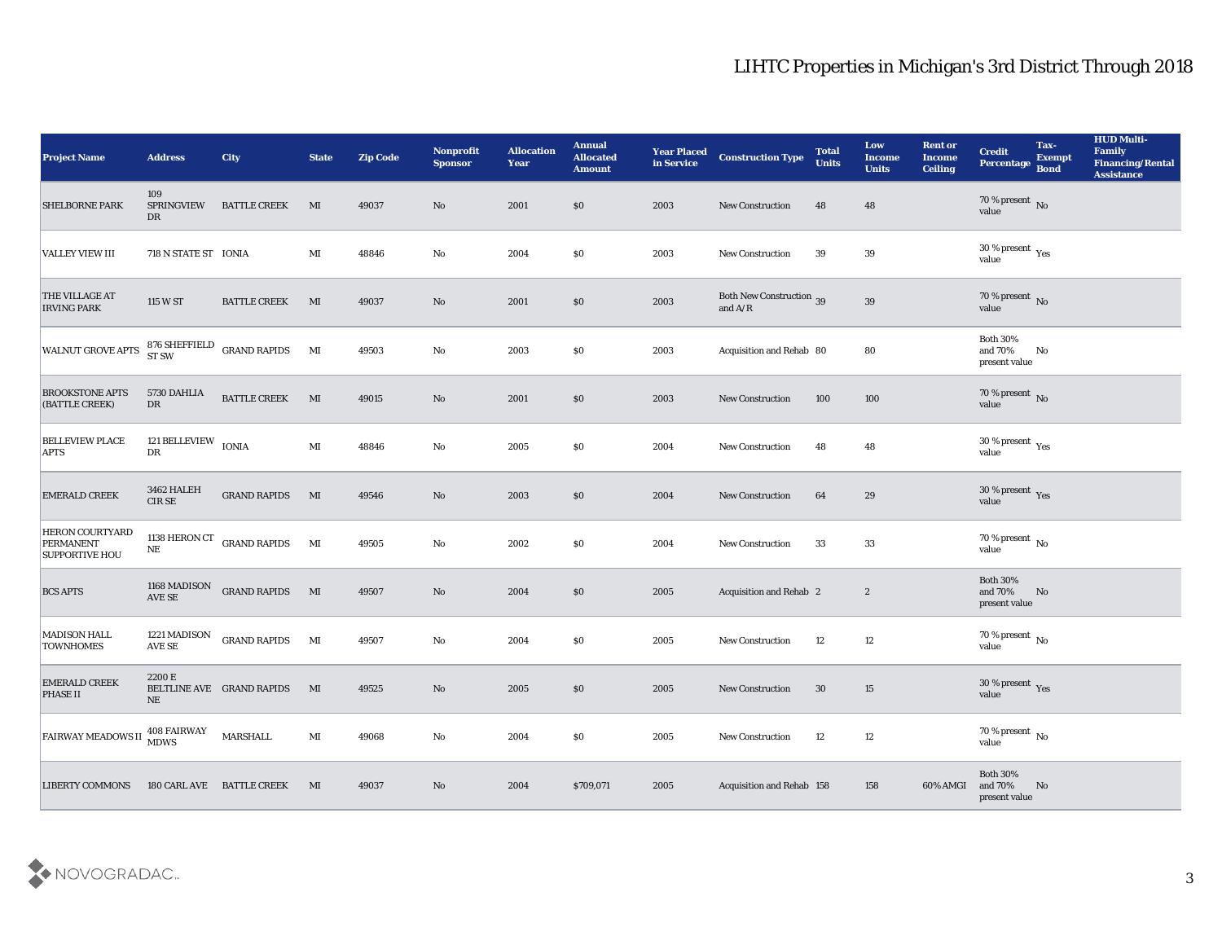| <b>Project Name</b>                                                 | <b>Address</b>                                     | City                                    | <b>State</b>           | <b>Zip Code</b> | Nonprofit<br><b>Sponsor</b> | <b>Allocation</b><br><b>Year</b> | <b>Annual</b><br><b>Allocated</b><br><b>Amount</b> | Year Placed<br>in Service | <b>Construction Type</b>                                                                 | <b>Total</b><br><b>Units</b> | Low<br><b>Income</b><br><b>Units</b> | <b>Rent or</b><br><b>Income</b><br>Ceiling | <b>Credit</b><br>Percentage                 | Tax-<br><b>Exempt</b><br><b>Bond</b> | <b>HUD Multi-</b><br>Family<br><b>Financing/Rental</b><br><b>Assistance</b> |
|---------------------------------------------------------------------|----------------------------------------------------|-----------------------------------------|------------------------|-----------------|-----------------------------|----------------------------------|----------------------------------------------------|---------------------------|------------------------------------------------------------------------------------------|------------------------------|--------------------------------------|--------------------------------------------|---------------------------------------------|--------------------------------------|-----------------------------------------------------------------------------|
| <b>SHELBORNE PARK</b>                                               | 109<br><b>SPRINGVIEW</b><br>DR                     | <b>BATTLE CREEK</b>                     | MI                     | 49037           | No                          | 2001                             | \$0                                                | 2003                      | <b>New Construction</b>                                                                  | 48                           | 48                                   |                                            | $70\,\%$ present $\,$ No value              |                                      |                                                                             |
| <b>VALLEY VIEW III</b>                                              | 718 N STATE ST IONIA                               |                                         | MI                     | 48846           | No                          | 2004                             | \$0                                                | 2003                      | New Construction                                                                         | 39                           | 39                                   |                                            | $30\,\%$ present $\,$ Yes value             |                                      |                                                                             |
| <b>THE VILLAGE AT</b><br><b>IRVING PARK</b>                         | 115 W ST                                           | <b>BATTLE CREEK</b>                     | MI                     | 49037           | No                          | 2001                             | \$0                                                | 2003                      | <b>Both New Construction 39</b><br>and $\ensuremath{\mathrm{A}}/\ensuremath{\mathrm{R}}$ |                              | $39\,$                               |                                            | $70\,\%$ present $\,$ No value              |                                      |                                                                             |
| <b>WALNUT GROVE APTS</b>                                            |                                                    | $876$ SHEFFIELD $\;$ GRAND RAPIDS ST SW | MI                     | 49503           | $\mathbf{No}$               | 2003                             | \$0                                                | 2003                      | Acquisition and Rehab 80                                                                 |                              | 80                                   |                                            | <b>Both 30%</b><br>and 70%<br>present value | No                                   |                                                                             |
| <b>BROOKSTONE APTS</b><br>(BATTLE CREEK)                            | 5730 DAHLIA<br>$\mathbf{D}\mathbf{R}$              | <b>BATTLE CREEK</b>                     | MI                     | 49015           | No                          | 2001                             | \$0                                                | 2003                      | <b>New Construction</b>                                                                  | 100                          | 100                                  |                                            | $70\,\%$ present $\,$ No value              |                                      |                                                                             |
| <b>BELLEVIEW PLACE</b><br><b>APTS</b>                               | 121 BELLEVIEW $\,$ IONIA<br>$\mathbf{D}\mathbf{R}$ |                                         | $\mathbf{M}\mathbf{I}$ | 48846           | $\mathbf{No}$               | 2005                             | \$0                                                | 2004                      | <b>New Construction</b>                                                                  | 48                           | 48                                   |                                            | $30\,\%$ present $\,$ Yes value             |                                      |                                                                             |
| <b>EMERALD CREEK</b>                                                | 3462 HALEH<br>$CIRSE$                              | <b>GRAND RAPIDS</b>                     | M                      | 49546           | No                          | 2003                             | \$0                                                | 2004                      | New Construction                                                                         | 64                           | 29                                   |                                            | $30\,\%$ present $\,$ Yes value             |                                      |                                                                             |
| <b>HERON COURTYARD</b><br><b>PERMANENT</b><br><b>SUPPORTIVE HOU</b> | $\rm NE$                                           | 1138 HERON CT GRAND RAPIDS              | MI                     | 49505           | $\mathbf{No}$               | 2002                             | \$0                                                | 2004                      | New Construction                                                                         | 33                           | 33                                   |                                            | $70\,\%$ present $\,$ No value              |                                      |                                                                             |
| <b>BCS APTS</b>                                                     | 1168 MADISON<br>$\operatorname{AVE}$ SE            | <b>GRAND RAPIDS</b>                     | MI                     | 49507           | $\mathbf{N}\mathbf{o}$      | 2004                             | \$0                                                | 2005                      | <b>Acquisition and Rehab 2</b>                                                           |                              | $\boldsymbol{2}$                     |                                            | <b>Both 30%</b><br>and 70%<br>present value | No                                   |                                                                             |
| <b>MADISON HALL</b><br><b>TOWNHOMES</b>                             | 1221 MADISON<br>AVE SE                             | <b>GRAND RAPIDS</b>                     | MI                     | 49507           | $\mathbf{No}$               | 2004                             | \$0                                                | 2005                      | New Construction                                                                         | 12                           | 12                                   |                                            | $70\,\%$ present $\,$ No value              |                                      |                                                                             |
| <b>EMERALD CREEK</b><br><b>PHASE II</b>                             | 2200 E<br>NE                                       | BELTLINE AVE GRAND RAPIDS               | MI                     | 49525           | No                          | 2005                             | \$0                                                | 2005                      | <b>New Construction</b>                                                                  | 30                           | 15                                   |                                            | $30\,\%$ present $\,$ Yes value             |                                      |                                                                             |
| <b>FAIRWAY MEADOWS II</b>                                           | 408 FAIRWAY<br>MDWS                                | MARSHALL                                | $\mathbf{M}$ I         | 49068           | $\mathbf {No}$              | 2004                             | \$0                                                | 2005                      | New Construction                                                                         | 12                           | $12\,$                               |                                            | 70 % present No<br>value                    |                                      |                                                                             |
| <b>LIBERTY COMMONS</b>                                              |                                                    | 180 CARL AVE BATTLE CREEK               | MI                     | 49037           | $\mathbf {No}$              | 2004                             | \$709,071                                          | 2005                      | Acquisition and Rehab 158                                                                |                              | 158                                  | 60% AMGI                                   | Both $30\%$<br>and 70%<br>present value     | $\mathbf{N}\mathbf{o}$               |                                                                             |

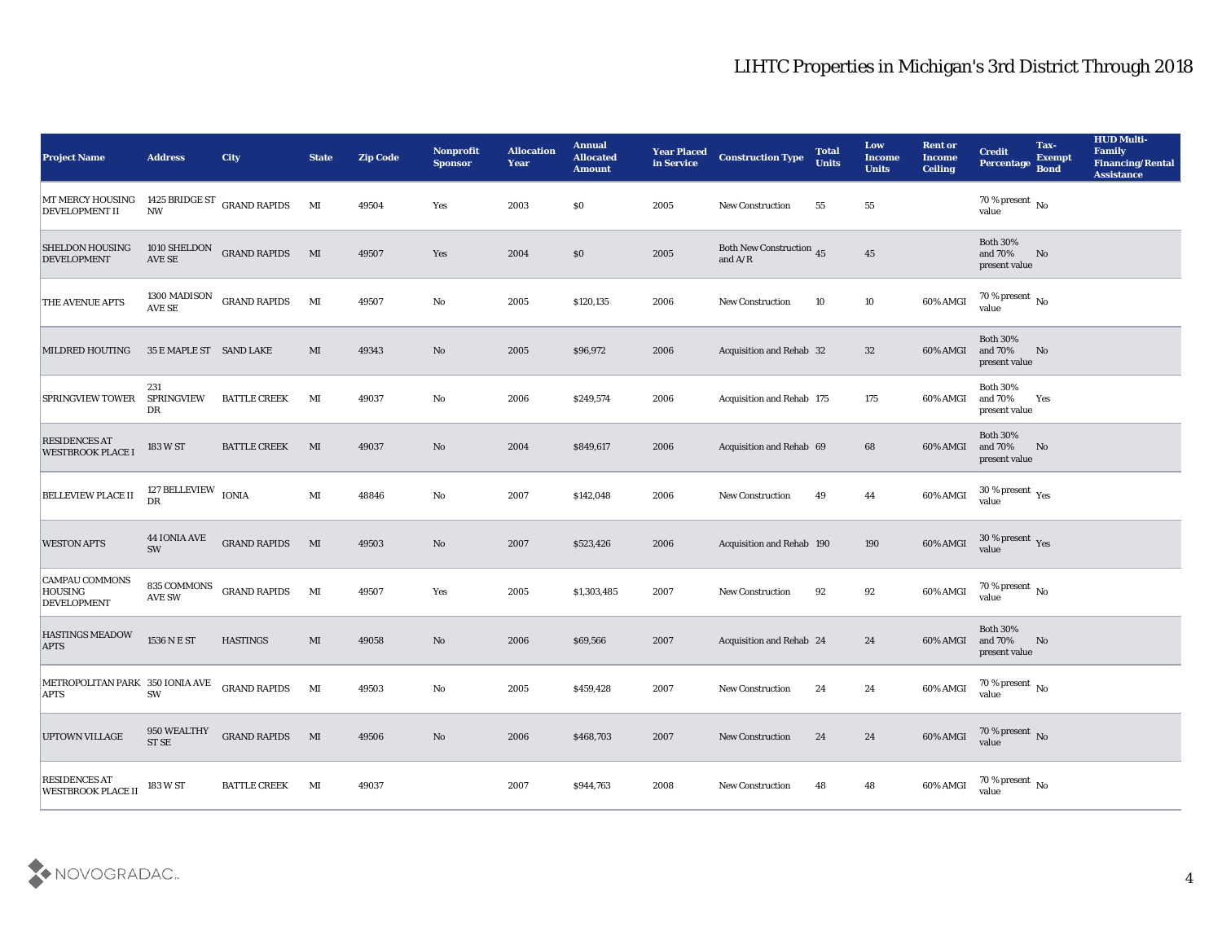| <b>Project Name</b>                                           | <b>Address</b>                        | <b>City</b>                 | <b>State</b> | <b>Zip Code</b> | Nonprofit<br><b>Sponsor</b> | <b>Allocation</b><br><b>Year</b> | <b>Annual</b><br><b>Allocated</b><br><b>Amount</b> | <b>Year Placed</b><br>in Service | <b>Construction Type</b>                                                                 | <b>Total</b><br><b>Units</b> | Low<br><b>Income</b><br><b>Units</b> | <b>Rent or</b><br>Income<br><b>Ceiling</b> | <b>Credit</b><br>Percentage                 | Tax-<br><b>Exempt</b><br><b>Bond</b> | <b>HUD Multi-</b><br>Family<br><b>Financing/Rental</b><br><b>Assistance</b> |
|---------------------------------------------------------------|---------------------------------------|-----------------------------|--------------|-----------------|-----------------------------|----------------------------------|----------------------------------------------------|----------------------------------|------------------------------------------------------------------------------------------|------------------------------|--------------------------------------|--------------------------------------------|---------------------------------------------|--------------------------------------|-----------------------------------------------------------------------------|
| MT MERCY HOUSING<br><b>DEVELOPMENT II</b>                     | <b>NW</b>                             | 1425 BRIDGE ST GRAND RAPIDS | MI           | 49504           | Yes                         | 2003                             | \$0                                                | 2005                             | <b>New Construction</b>                                                                  | 55                           | 55                                   |                                            | $70\,\%$ present $\,$ No $\,$<br>value      |                                      |                                                                             |
| <b>SHELDON HOUSING</b><br><b>DEVELOPMENT</b>                  | AVE SE                                | 1010 SHELDON GRAND RAPIDS   | ML           | 49507           | Yes                         | 2004                             | \$0                                                | $\boldsymbol{2005}$              | <b>Both New Construction 45</b><br>and $\ensuremath{\mathrm{A}}/\ensuremath{\mathrm{R}}$ |                              | 45                                   |                                            | <b>Both 30%</b><br>and 70%<br>present value | No                                   |                                                                             |
| THE AVENUE APTS                                               | 1300 MADISON<br>AVE SE                | <b>GRAND RAPIDS</b>         | MI           | 49507           | No                          | 2005                             | \$120,135                                          | 2006                             | New Construction                                                                         | 10                           | 10                                   | 60% AMGI                                   | 70 % present $\,$ No $\,$<br>value          |                                      |                                                                             |
| <b>MILDRED HOUTING</b>                                        | 35 E MAPLE ST SAND LAKE               |                             | MI           | 49343           | No                          | 2005                             | \$96,972                                           | 2006                             | <b>Acquisition and Rehab 32</b>                                                          |                              | 32                                   | 60% AMGI                                   | <b>Both 30%</b><br>and 70%<br>present value | No                                   |                                                                             |
| <b>SPRINGVIEW TOWER</b>                                       | 231<br><b>SPRINGVIEW</b><br>DR        | <b>BATTLE CREEK</b>         | MI           | 49037           | No                          | 2006                             | \$249,574                                          | 2006                             | Acquisition and Rehab 175                                                                |                              | 175                                  | 60% AMGI                                   | <b>Both 30%</b><br>and 70%<br>present value | Yes                                  |                                                                             |
| <b>RESIDENCES AT</b><br><b>WESTBROOK PLACE I</b>              | 183 W ST                              | <b>BATTLE CREEK</b>         | MI           | 49037           | No                          | 2004                             | \$849,617                                          | 2006                             | Acquisition and Rehab 69                                                                 |                              | 68                                   | 60% AMGI                                   | <b>Both 30%</b><br>and 70%<br>present value | No                                   |                                                                             |
| <b>BELLEVIEW PLACE II</b>                                     | 127 BELLEVIEW $\,$ IONIA<br><b>DR</b> |                             | MI           | 48846           | No                          | 2007                             | \$142,048                                          | 2006                             | <b>New Construction</b>                                                                  | 49                           | 44                                   | 60% AMGI                                   | $30\,\%$ present $\,$ Yes value             |                                      |                                                                             |
| <b>WESTON APTS</b>                                            | <b>44 IONIA AVE</b><br><b>SW</b>      | <b>GRAND RAPIDS</b>         | $\mathbf{M}$ | 49503           | No                          | 2007                             | \$523,426                                          | 2006                             | Acquisition and Rehab 190                                                                |                              | 190                                  | 60% AMGI                                   | $30\,\%$ present $\,$ Yes value             |                                      |                                                                             |
| <b>CAMPAU COMMONS</b><br><b>HOUSING</b><br><b>DEVELOPMENT</b> | 835 COMMONS<br><b>AVE SW</b>          | <b>GRAND RAPIDS</b>         | MI           | 49507           | Yes                         | 2005                             | \$1,303,485                                        | 2007                             | <b>New Construction</b>                                                                  | 92                           | 92                                   | 60% AMGI                                   | $70\,\%$ present $\,$ No $\,$<br>value      |                                      |                                                                             |
| <b>HASTINGS MEADOW</b><br><b>APTS</b>                         | 1536 N E ST                           | <b>HASTINGS</b>             | MI           | 49058           | No                          | 2006                             | \$69,566                                           | 2007                             | Acquisition and Rehab 24                                                                 |                              | 24                                   | 60% AMGI                                   | <b>Both 30%</b><br>and 70%<br>present value | No                                   |                                                                             |
| METROPOLITAN PARK 350 IONIA AVE<br><b>APTS</b>                | SW                                    | <b>GRAND RAPIDS</b>         | MI           | 49503           | No                          | 2005                             | \$459,428                                          | 2007                             | <b>New Construction</b>                                                                  | 24                           | 24                                   | 60% AMGI                                   | 70 % present $\,$ No $\,$<br>value          |                                      |                                                                             |
| <b>UPTOWN VILLAGE</b>                                         | 950 WEALTHY<br>$\operatorname{STSE}$  | <b>GRAND RAPIDS</b> MI      |              | 49506           | $\rm\thinspace No$          | 2006                             | \$468,703                                          | 2007                             | New Construction                                                                         | 24                           | 24                                   | 60% AMGI                                   | $70$ % present $\,$ No $\,$ value           |                                      |                                                                             |
| <b>RESIDENCES AT</b><br><b>WESTBROOK PLACE II</b>             | 183 W ST                              | <b>BATTLE CREEK</b>         | MI           | 49037           |                             | 2007                             | \$944,763                                          | 2008                             | New Construction                                                                         | 48                           | 48                                   | 60% AMGI                                   | 70 % present No<br>value                    |                                      |                                                                             |

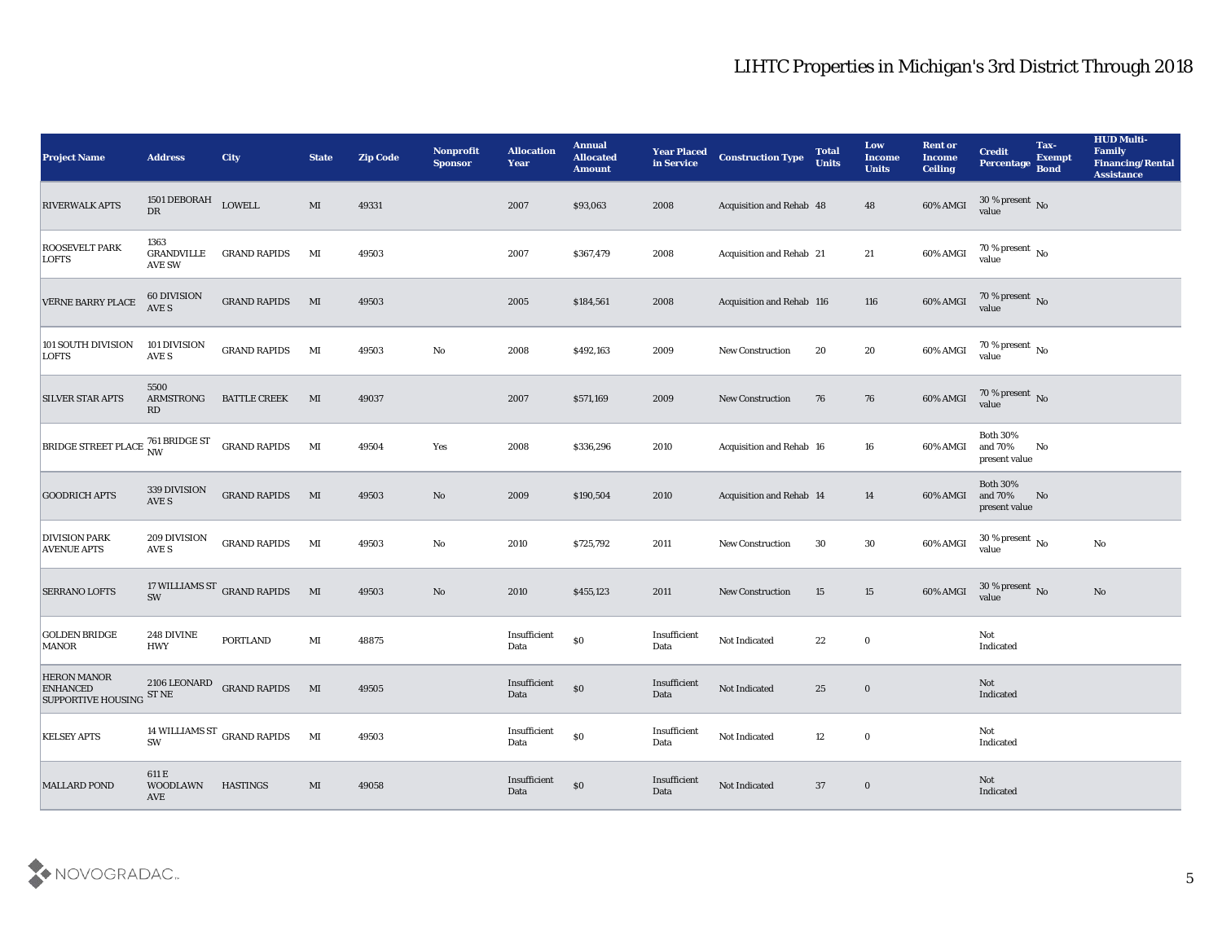| <b>Project Name</b>                                                                                 | <b>Address</b>                      | <b>City</b>                              | <b>State</b> | <b>Zip Code</b> | Nonprofit<br><b>Sponsor</b> | <b>Allocation</b><br><b>Year</b> | <b>Annual</b><br><b>Allocated</b><br><b>Amount</b> | <b>Year Placed</b><br>in Service | <b>Construction Type</b>  | <b>Total</b><br><b>Units</b> | Low<br><b>Income</b><br><b>Units</b> | <b>Rent or</b><br><b>Income</b><br><b>Ceiling</b> | <b>Credit</b><br>Percentage                 | Tax-<br><b>Exempt</b><br><b>Bond</b> | <b>HUD Multi-</b><br>Family<br><b>Financing/Rental</b><br><b>Assistance</b> |
|-----------------------------------------------------------------------------------------------------|-------------------------------------|------------------------------------------|--------------|-----------------|-----------------------------|----------------------------------|----------------------------------------------------|----------------------------------|---------------------------|------------------------------|--------------------------------------|---------------------------------------------------|---------------------------------------------|--------------------------------------|-----------------------------------------------------------------------------|
| <b>RIVERWALK APTS</b>                                                                               | 1501 DEBORAH<br>${\rm D}{\rm R}$    | LOWELL                                   | MI           | 49331           |                             | 2007                             | \$93,063                                           | 2008                             | Acquisition and Rehab 48  |                              | 48                                   | 60% AMGI                                          | $30\,\%$ present $\,$ No value              |                                      |                                                                             |
| <b>ROOSEVELT PARK</b><br><b>LOFTS</b>                                                               | 1363<br><b>GRANDVILLE</b><br>AVE SW | <b>GRAND RAPIDS</b>                      | MI           | 49503           |                             | 2007                             | \$367,479                                          | 2008                             | Acquisition and Rehab 21  |                              | 21                                   | 60% AMGI                                          | $70$ % present $\,$ No $\,$ value           |                                      |                                                                             |
| VERNE BARRY PLACE                                                                                   | 60 DIVISION<br>AVE S                | <b>GRAND RAPIDS</b>                      | MI           | 49503           |                             | 2005                             | \$184,561                                          | 2008                             | Acquisition and Rehab 116 |                              | 116                                  | 60% AMGI                                          | $70\,\%$ present $\,$ No value              |                                      |                                                                             |
| 101 SOUTH DIVISION<br><b>LOFTS</b>                                                                  | 101 DIVISION<br>AVE S               | <b>GRAND RAPIDS</b>                      | MI           | 49503           | $\mathbf{N}\mathbf{o}$      | 2008                             | \$492,163                                          | 2009                             | New Construction          | 20                           | $20\,$                               | 60% AMGI                                          | $70\,\% \,present \over value$              |                                      |                                                                             |
| <b>SILVER STAR APTS</b>                                                                             | 5500<br>ARMSTRONG<br>RD             | <b>BATTLE CREEK</b>                      | MI           | 49037           |                             | 2007                             | \$571,169                                          | 2009                             | <b>New Construction</b>   | 76                           | 76                                   | 60% AMGI                                          | $70\,\%$ present $\,$ No value              |                                      |                                                                             |
| $\boxed{\text{BRIDGE} \, \text{STREET}\, \text{PLACE} \, \text{761} \, \text{BRIDGE} \, \text{ST}}$ |                                     | <b>GRAND RAPIDS</b>                      | MI           | 49504           | Yes                         | 2008                             | \$336,296                                          | 2010                             | Acquisition and Rehab 16  |                              | 16                                   | 60% AMGI                                          | <b>Both 30%</b><br>and 70%<br>present value | No                                   |                                                                             |
| <b>GOODRICH APTS</b>                                                                                | 339 DIVISION<br>AVE S               | <b>GRAND RAPIDS</b> MI                   |              | 49503           | No                          | 2009                             | \$190,504                                          | 2010                             | Acquisition and Rehab 14  |                              | 14                                   | 60% AMGI                                          | <b>Both 30%</b><br>and 70%<br>present value | No                                   |                                                                             |
| <b>DIVISION PARK</b><br><b>AVENUE APTS</b>                                                          | 209 DIVISION<br>AVE S               | <b>GRAND RAPIDS</b>                      | MI           | 49503           | No                          | 2010                             | \$725,792                                          | 2011                             | <b>New Construction</b>   | 30                           | 30                                   | 60% AMGI                                          | 30 % present $\,$ No $\,$<br>value          |                                      | No                                                                          |
| <b>SERRANO LOFTS</b>                                                                                | SW                                  | 17 WILLIAMS ST $\,$ GRAND RAPIDS         | M            | 49503           | No                          | 2010                             | \$455,123                                          | 2011                             | <b>New Construction</b>   | 15                           | 15                                   | 60% AMGI                                          | $30\,\%$ present $\,$ No value              |                                      | No                                                                          |
| <b>GOLDEN BRIDGE</b><br><b>MANOR</b>                                                                | 248 DIVINE<br><b>HWY</b>            | <b>PORTLAND</b>                          | MI           | 48875           |                             | Insufficient<br>Data             | $\$0$                                              | Insufficient<br>Data             | Not Indicated             | 22                           | $\bf{0}$                             |                                                   | Not<br>Indicated                            |                                      |                                                                             |
| <b>HERON MANOR</b><br><b>ENHANCED</b><br>SUPPORTIVE HOUSING ST NE                                   |                                     | 2106 LEONARD GRAND RAPIDS                | MI           | 49505           |                             | Insufficient<br>Data             | $\$0$                                              | Insufficient<br>Data             | Not Indicated             | 25                           | $\bf{0}$                             |                                                   | Not<br>Indicated                            |                                      |                                                                             |
| <b>KELSEY APTS</b>                                                                                  | <b>SW</b>                           | 14 WILLIAMS ST $\,$ GRAND RAPIDS $\,$ MI |              | 49503           |                             | $\bold{Insufficient}$<br>Data    | $\$0$                                              | Insufficient<br>Data             | Not Indicated             | 12                           | $\mathbf 0$                          |                                                   | Not<br>Indicated                            |                                      |                                                                             |
| <b>MALLARD POND</b>                                                                                 | 611 E<br><b>WOODLAWN</b><br>AVE     | <b>HASTINGS</b>                          | $\mathbf{M}$ | 49058           |                             | Insufficient<br>Data             | $\$0$                                              | Insufficient<br>Data             | Not Indicated             | 37                           | $\bf{0}$                             |                                                   | Not<br>Indicated                            |                                      |                                                                             |

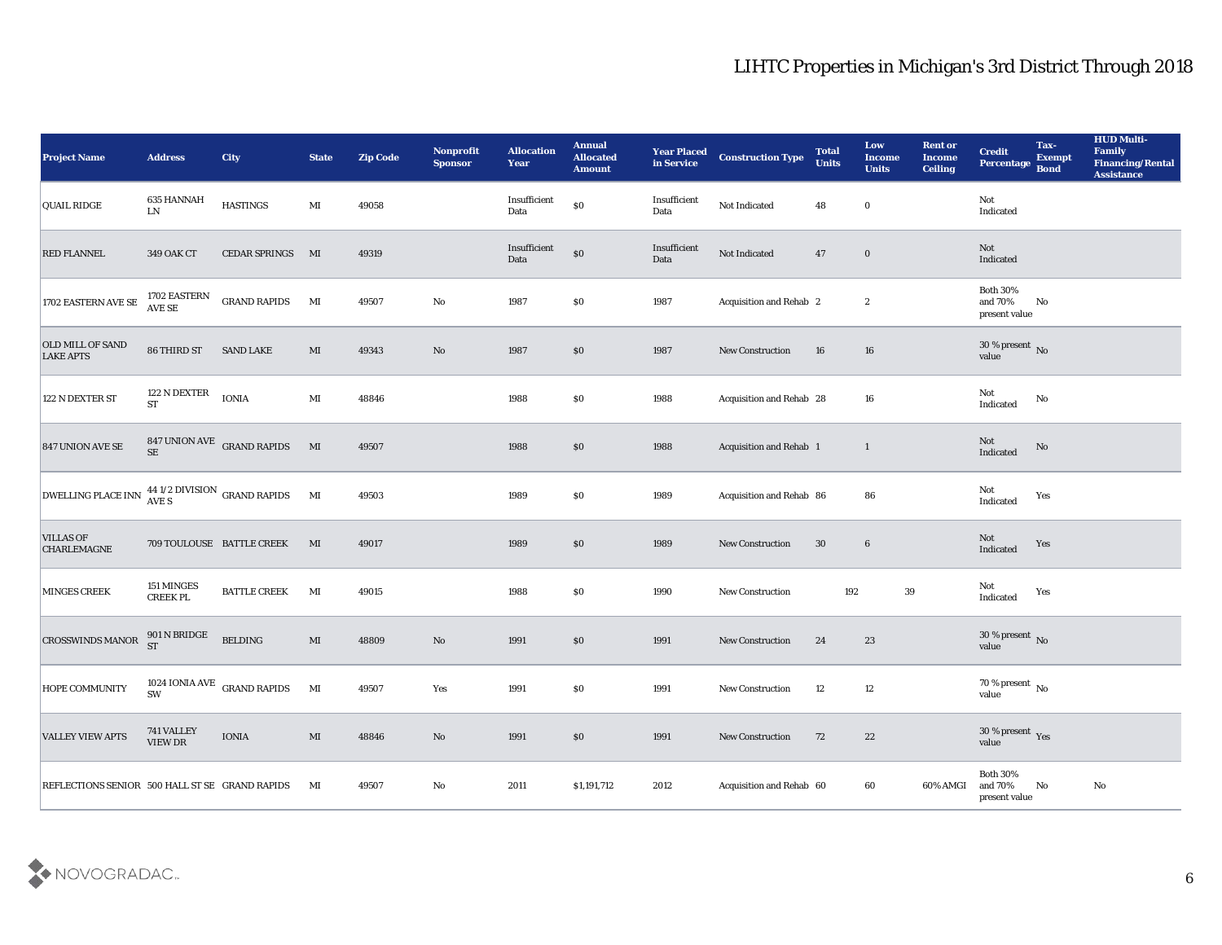| <b>Project Name</b>                                  | <b>Address</b>                | <b>City</b>                          | <b>State</b>           | <b>Zip Code</b> | Nonprofit<br><b>Sponsor</b> | <b>Allocation</b><br><b>Year</b> | <b>Annual</b><br><b>Allocated</b><br><b>Amount</b> | <b>Year Placed</b><br>in Service | <b>Construction Type</b>       | <b>Total</b><br><b>Units</b> | Low<br><b>Income</b><br><b>Units</b> | <b>Rent or</b><br><b>Income</b><br><b>Ceiling</b> | <b>Credit</b><br>Percentage                 | Tax-<br><b>Exempt</b><br><b>Bond</b> | <b>HUD Multi-</b><br>Family<br><b>Financing/Rental</b><br><b>Assistance</b> |
|------------------------------------------------------|-------------------------------|--------------------------------------|------------------------|-----------------|-----------------------------|----------------------------------|----------------------------------------------------|----------------------------------|--------------------------------|------------------------------|--------------------------------------|---------------------------------------------------|---------------------------------------------|--------------------------------------|-----------------------------------------------------------------------------|
| <b>QUAIL RIDGE</b>                                   | 635 HANNAH<br>${\rm LN}$      | <b>HASTINGS</b>                      | $\mathbf{M}$ I         | 49058           |                             | Insufficient<br>Data             | $\$0$                                              | Insufficient<br>Data             | Not Indicated                  | 48                           | $\bf{0}$                             |                                                   | Not<br>Indicated                            |                                      |                                                                             |
| <b>RED FLANNEL</b>                                   | 349 OAK CT                    | CEDAR SPRINGS MI                     |                        | 49319           |                             | Insufficient<br>Data             | $\$0$                                              | Insufficient<br>Data             | Not Indicated                  | 47                           | $\bf{0}$                             |                                                   | Not<br>Indicated                            |                                      |                                                                             |
| $1702$ EASTERN AVE SE                                | 1702 EASTERN<br>AVE SE        | <b>GRAND RAPIDS</b>                  | MI                     | 49507           | $\rm\thinspace No$          | 1987                             | \$0                                                | 1987                             | Acquisition and Rehab 2        |                              | $\boldsymbol{2}$                     |                                                   | <b>Both 30%</b><br>and 70%<br>present value | No                                   |                                                                             |
| <b>OLD MILL OF SAND</b><br><b>LAKE APTS</b>          | 86 THIRD ST                   | <b>SAND LAKE</b>                     | MI                     | 49343           | $\rm\thinspace No$          | 1987                             | \$0\$                                              | 1987                             | New Construction               | 16                           | 16                                   |                                                   | $30\,\%$ present $\,$ No value              |                                      |                                                                             |
| 122 N DEXTER ST                                      | 122 N DEXTER<br>ST            | <b>IONIA</b>                         | $\mathbf{M}$ I         | 48846           |                             | 1988                             | \$0\$                                              | 1988                             | Acquisition and Rehab 28       |                              | 16                                   |                                                   | Not<br>Indicated                            | No                                   |                                                                             |
| <b>847 UNION AVE SE</b>                              |                               | $847$ UNION AVE $\,$ GRAND RAPIDS SE | M                      | 49507           |                             | 1988                             | $\$0$                                              | 1988                             | <b>Acquisition and Rehab 1</b> |                              | $\mathbf{1}$                         |                                                   | Not<br>Indicated                            | No                                   |                                                                             |
| DWELLING PLACE INN $^{44}$ 1/2 DIVISION GRAND RAPIDS |                               |                                      | MI                     | 49503           |                             | 1989                             | \$0\$                                              | 1989                             | Acquisition and Rehab 86       |                              | 86                                   |                                                   | Not<br>Indicated                            | Yes                                  |                                                                             |
| <b>VILLAS OF</b><br><b>CHARLEMAGNE</b>               |                               | 709 TOULOUSE BATTLE CREEK            | MI                     | 49017           |                             | 1989                             | \$0\$                                              | 1989                             | <b>New Construction</b>        | 30                           | $6\phantom{.}6$                      |                                                   | Not<br>Indicated                            | Yes                                  |                                                                             |
| MINGES CREEK                                         | 151 MINGES<br><b>CREEK PL</b> | <b>BATTLE CREEK</b>                  | MI                     | 49015           |                             | 1988                             | \$0\$                                              | 1990                             | <b>New Construction</b>        | 192                          |                                      | 39                                                | Not<br>$\operatorname{Indicated}$           | Yes                                  |                                                                             |
| <b>CROSSWINDS MANOR</b>                              | 901 N BRIDGE<br>ST            | <b>BELDING</b>                       | $\mathbf{M}\mathbf{I}$ | 48809           | $\rm\thinspace No$          | 1991                             | \$0\$                                              | 1991                             | <b>New Construction</b>        | 24                           | 23                                   |                                                   | $30\,\%$ present $\,$ No value              |                                      |                                                                             |
| <b>HOPE COMMUNITY</b>                                | SW                            | 1024 IONIA AVE GRAND RAPIDS          | MI                     | 49507           | Yes                         | 1991                             | $\$0$                                              | 1991                             | <b>New Construction</b>        | 12                           | 12                                   |                                                   | 70 % present $\,$ No $\,$<br>value          |                                      |                                                                             |
| <b>VALLEY VIEW APTS</b>                              | 741 VALLEY<br>$\,$ VIEW DR    | $\mathop{\bf IONIA}\nolimits$        | $\mathbf{M}\mathbf{I}$ | 48846           | $\mathbf {No}$              | 1991                             | $\$0$                                              | 1991                             | New Construction               | 72                           | 22                                   |                                                   | 30 % present $_{\rm Yes}$<br>value          |                                      |                                                                             |
| REFLECTIONS SENIOR 500 HALL ST SE GRAND RAPIDS       |                               |                                      | MI                     | 49507           | ${\bf No}$                  | 2011                             | \$1,191,712                                        | 2012                             | Acquisition and Rehab 60       |                              | $\bf{60}$                            | 60% AMGI                                          | Both $30\%$<br>and 70%<br>present value     | No                                   | $\rm No$                                                                    |

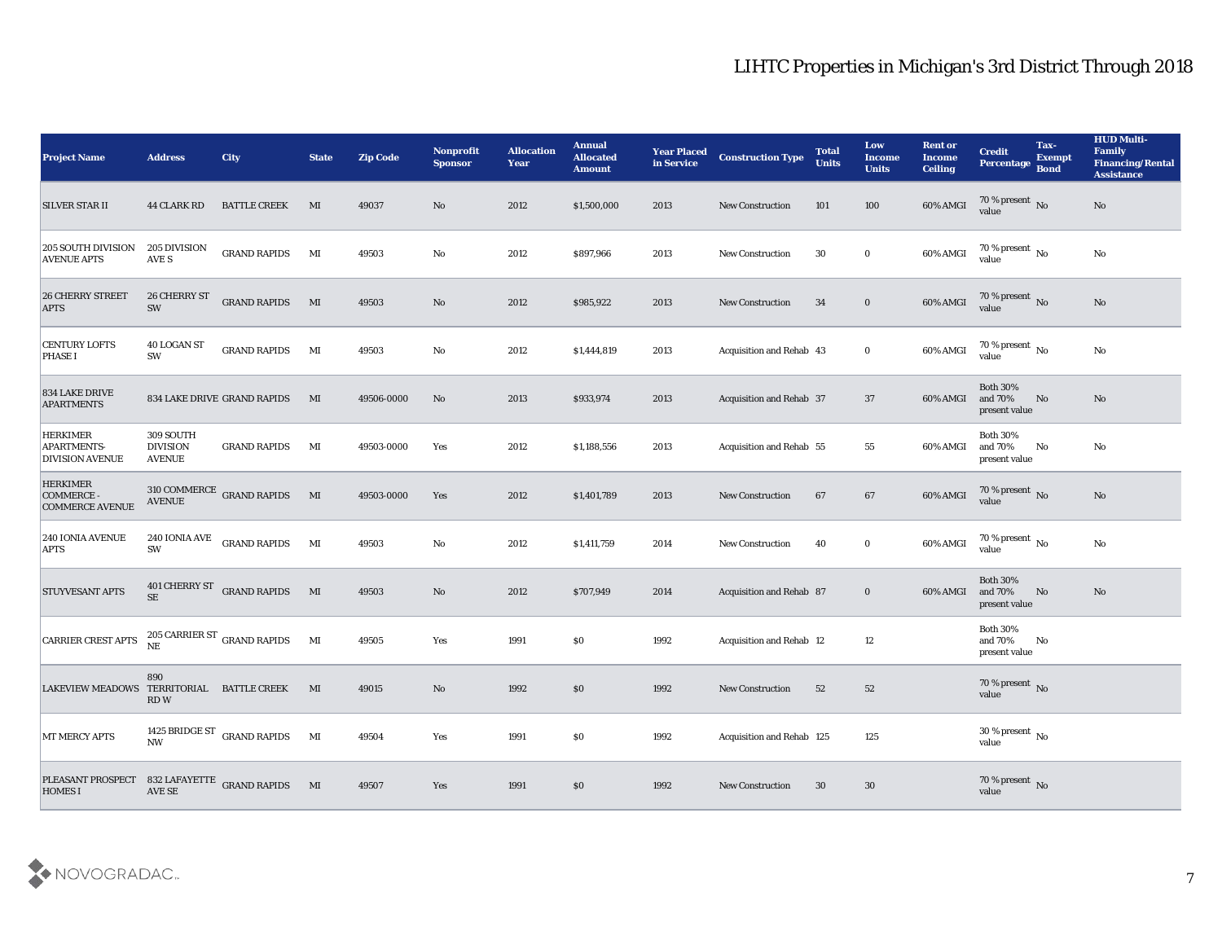| <b>Project Name</b>                                             | <b>Address</b>                                | <b>City</b>                                         | <b>State</b> | <b>Zip Code</b> | Nonprofit<br><b>Sponsor</b> | <b>Allocation</b><br><b>Year</b> | <b>Annual</b><br><b>Allocated</b><br><b>Amount</b> | <b>Year Placed</b><br>in Service | <b>Construction Type</b>  | <b>Total</b><br><b>Units</b> | Low<br><b>Income</b><br><b>Units</b> | <b>Rent or</b><br><b>Income</b><br><b>Ceiling</b> | <b>Credit</b><br>Percentage                 | Tax-<br><b>Exempt</b><br><b>Bond</b> | <b>HUD Multi-</b><br>Family<br><b>Financing/Rental</b><br><b>Assistance</b> |
|-----------------------------------------------------------------|-----------------------------------------------|-----------------------------------------------------|--------------|-----------------|-----------------------------|----------------------------------|----------------------------------------------------|----------------------------------|---------------------------|------------------------------|--------------------------------------|---------------------------------------------------|---------------------------------------------|--------------------------------------|-----------------------------------------------------------------------------|
| <b>SILVER STAR II</b>                                           | <b>44 CLARK RD</b>                            | <b>BATTLE CREEK</b>                                 | MI           | 49037           | No                          | 2012                             | \$1,500,000                                        | 2013                             | <b>New Construction</b>   | 101                          | 100                                  | 60% AMGI                                          | $\frac{70\%}{\text{value}}$ No              |                                      | No                                                                          |
| 205 SOUTH DIVISION<br><b>AVENUE APTS</b>                        | 205 DIVISION<br>AVE S                         | <b>GRAND RAPIDS</b>                                 | MI           | 49503           | No                          | 2012                             | \$897,966                                          | 2013                             | <b>New Construction</b>   | 30                           | $\bf{0}$                             | 60% AMGI                                          | 70 % present $\,$ No $\,$<br>value          |                                      | No                                                                          |
| <b>26 CHERRY STREET</b><br><b>APTS</b>                          | 26 CHERRY ST<br>SW                            | <b>GRAND RAPIDS</b>                                 | M            | 49503           | No                          | 2012                             | \$985,922                                          | 2013                             | <b>New Construction</b>   | 34                           | $\bf{0}$                             | 60% AMGI                                          | 70 % present No<br>value                    |                                      | No                                                                          |
| <b>CENTURY LOFTS</b><br><b>PHASE I</b>                          | <b>40 LOGAN ST</b><br>SW                      | <b>GRAND RAPIDS</b>                                 | MI           | 49503           | No                          | 2012                             | \$1,444,819                                        | 2013                             | Acquisition and Rehab 43  |                              | $\bf{0}$                             | 60% AMGI                                          | $70\,\%$ present $\,$ No value              |                                      | $\rm\thinspace No$                                                          |
| <b>834 LAKE DRIVE</b><br><b>APARTMENTS</b>                      |                                               | 834 LAKE DRIVE GRAND RAPIDS                         | MI           | 49506-0000      | No                          | 2013                             | \$933,974                                          | 2013                             | Acquisition and Rehab 37  |                              | 37                                   | 60% AMGI                                          | <b>Both 30%</b><br>and 70%<br>present value | No                                   | No                                                                          |
| <b>HERKIMER</b><br><b>APARTMENTS-</b><br><b>DIVISION AVENUE</b> | 309 SOUTH<br><b>DIVISION</b><br><b>AVENUE</b> | <b>GRAND RAPIDS</b>                                 | MI           | 49503-0000      | Yes                         | 2012                             | \$1,188,556                                        | 2013                             | Acquisition and Rehab 55  |                              | 55                                   | 60% AMGI                                          | <b>Both 30%</b><br>and 70%<br>present value | No                                   | No                                                                          |
| <b>HERKIMER</b><br>COMMERCE -<br><b>COMMERCE AVENUE</b>         |                                               | $310$ COMMERCE $\:$ GRAND RAPIDS $\qquad$ MI AVENUE |              | 49503-0000      | Yes                         | 2012                             | \$1,401,789                                        | 2013                             | <b>New Construction</b>   | 67                           | 67                                   | 60% AMGI                                          | $70\,\%$ present $\,$ No value              |                                      | No                                                                          |
| <b>240 IONIA AVENUE</b><br><b>APTS</b>                          | 240 IONIA AVE<br>SW                           | <b>GRAND RAPIDS</b>                                 | MI           | 49503           | No                          | 2012                             | \$1,411,759                                        | 2014                             | <b>New Construction</b>   | 40                           | $\bf{0}$                             | 60% AMGI                                          | 70 % present $\sqrt{\ }$ No<br>value        |                                      | No                                                                          |
| <b>STUYVESANT APTS</b>                                          | 401 CHERRY ST<br><b>SE</b>                    | <b>GRAND RAPIDS</b>                                 | M            | 49503           | No                          | 2012                             | \$707,949                                          | 2014                             | Acquisition and Rehab 87  |                              | $\bf{0}$                             | 60% AMGI                                          | <b>Both 30%</b><br>and 70%<br>present value | No                                   | No                                                                          |
| <b>CARRIER CREST APTS</b>                                       |                                               | 205 CARRIER ST $_{\rm GRAND}$ RAPIDS NE             | MI           | 49505           | Yes                         | 1991                             | $\$0$                                              | 1992                             | Acquisition and Rehab 12  |                              | 12                                   |                                                   | <b>Both 30%</b><br>and 70%<br>present value | No                                   |                                                                             |
| LAKEVIEW MEADOWS TERRITORIAL BATTLE CREEK                       | 890<br>RD W                                   |                                                     | MI           | 49015           | No                          | 1992                             | \$0                                                | 1992                             | New Construction          | 52                           | 52                                   |                                                   | 70 % present No<br>value                    |                                      |                                                                             |
| MT MERCY APTS                                                   |                                               | 1425 BRIDGE ST GRAND RAPIDS MI NW                   |              | 49504           | $\mathbf{Yes}$              | 1991                             | $\$0$                                              | 1992                             | Acquisition and Rehab 125 |                              | $125\,$                              |                                                   | $30\,\%$ present $\,$ No value              |                                      |                                                                             |
| PLEASANT PROSPECT<br><b>HOMES I</b>                             |                                               | $832$ LAFAYETTE $\,$ GRAND RAPIDS $\,$ MI AVE SE    |              | 49507           | Yes                         | 1991                             | \$0\$                                              | 1992                             | New Construction          | 30                           | 30                                   |                                                   | $70\,\%$ present $\,$ No value              |                                      |                                                                             |

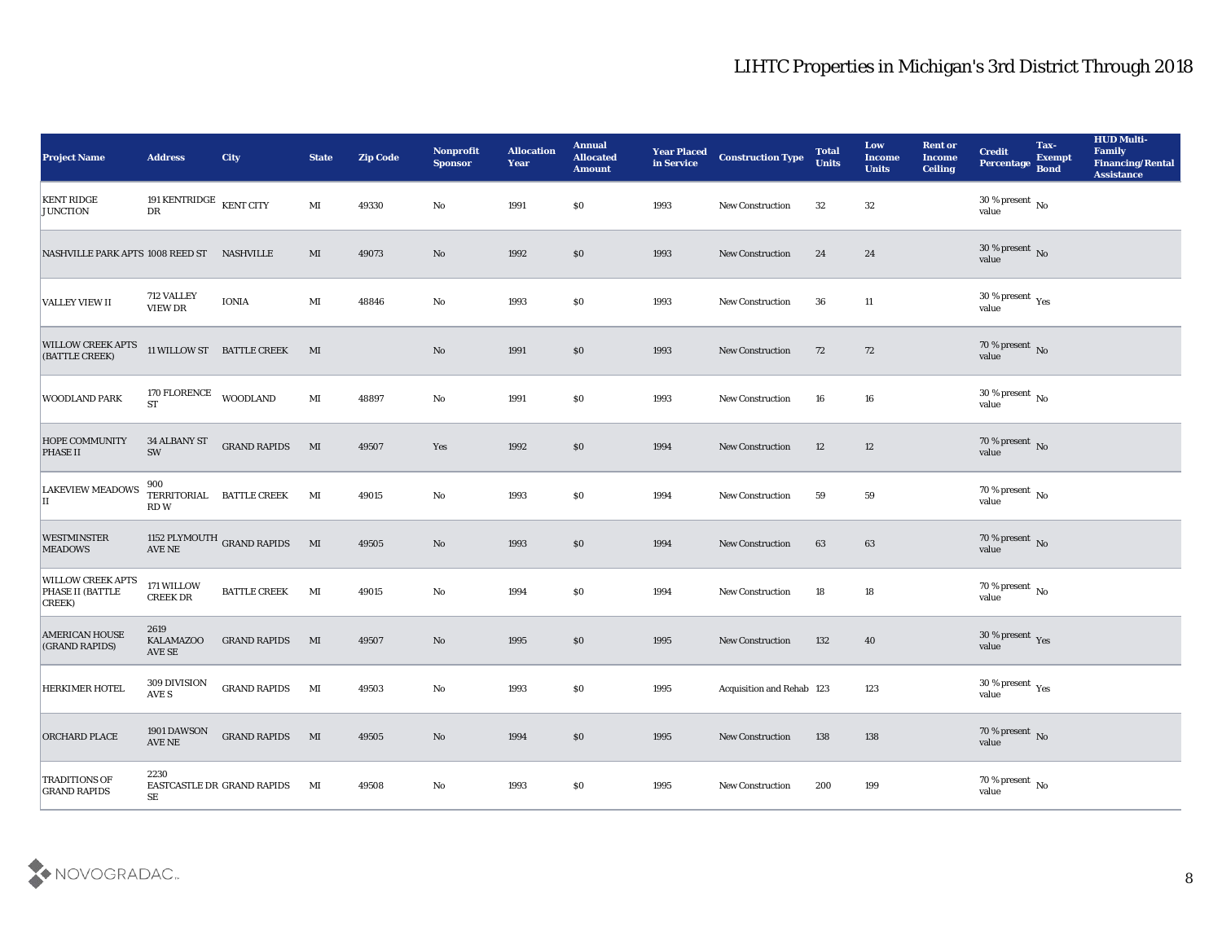| <b>Project Name</b>                                    | <b>Address</b>                                   | <b>City</b>                | <b>State</b> | <b>Zip Code</b> | Nonprofit<br><b>Sponsor</b> | <b>Allocation</b><br><b>Year</b> | <b>Annual</b><br><b>Allocated</b><br><b>Amount</b> | <b>Year Placed</b><br>in Service | <b>Construction Type</b>  | <b>Total</b><br><b>Units</b> | Low<br><b>Income</b><br><b>Units</b> | <b>Rent or</b><br><b>Income</b><br><b>Ceiling</b> | <b>Credit</b><br><b>Percentage</b>     | Tax-<br><b>Exempt</b><br><b>Bond</b> | <b>HUD Multi-</b><br>Family<br><b>Financing/Rental</b><br><b>Assistance</b> |
|--------------------------------------------------------|--------------------------------------------------|----------------------------|--------------|-----------------|-----------------------------|----------------------------------|----------------------------------------------------|----------------------------------|---------------------------|------------------------------|--------------------------------------|---------------------------------------------------|----------------------------------------|--------------------------------------|-----------------------------------------------------------------------------|
| <b>KENT RIDGE</b><br><b>JUNCTION</b>                   | 191 KENTRIDGE $\,$ KENT CITY<br>${\rm D}{\rm R}$ |                            | MI           | 49330           | No                          | 1991                             | \$0                                                | 1993                             | New Construction          | 32                           | 32                                   |                                                   | 30 % present $\,$ No $\,$<br>value     |                                      |                                                                             |
| NASHVILLE PARK APTS 1008 REED ST NASHVILLE             |                                                  |                            | MI           | 49073           | No                          | 1992                             | \$0                                                | 1993                             | <b>New Construction</b>   | 24                           | 24                                   |                                                   | $30\,\%$ present $\,$ No $\,$<br>value |                                      |                                                                             |
| <b>VALLEY VIEW II</b>                                  | 712 VALLEY<br>VIEW DR                            | <b>IONIA</b>               | MI           | 48846           | No                          | 1993                             | \$0                                                | 1993                             | New Construction          | 36                           | 11                                   |                                                   | $30\,\%$ present $\,$ Yes value        |                                      |                                                                             |
| <b>WILLOW CREEK APTS</b><br>(BATTLE CREEK)             |                                                  | 11 WILLOW ST BATTLE CREEK  | MI           |                 | No                          | 1991                             | \$0                                                | 1993                             | New Construction          | 72                           | 72                                   |                                                   | $70\,\%$ present $\,$ No value         |                                      |                                                                             |
| WOODLAND PARK                                          | 170 FLORENCE<br><b>ST</b>                        | <b>WOODLAND</b>            | MI           | 48897           | No                          | 1991                             | \$0                                                | 1993                             | <b>New Construction</b>   | 16                           | 16                                   |                                                   | $30\,\%$ present $\,$ No value         |                                      |                                                                             |
| <b>HOPE COMMUNITY</b><br><b>PHASE II</b>               | 34 ALBANY ST<br>SW                               | <b>GRAND RAPIDS</b>        | $\mathbf{M}$ | 49507           | Yes                         | 1992                             | \$0                                                | 1994                             | <b>New Construction</b>   | 12                           | 12                                   |                                                   | $70\,\%$ present $\,$ No value         |                                      |                                                                             |
| <b>LAKEVIEW MEADOWS</b><br>П                           | 900<br>TERRITORIAL<br>RD W                       | <b>BATTLE CREEK</b>        | MI           | 49015           | No                          | 1993                             | \$0                                                | 1994                             | New Construction          | 59                           | 59                                   |                                                   | $70\,\% \,present \over value$         |                                      |                                                                             |
| <b>WESTMINSTER</b><br><b>MEADOWS</b>                   | <b>AVE NE</b>                                    | 1152 PLYMOUTH GRAND RAPIDS | MI           | 49505           | No                          | 1993                             | \$0                                                | 1994                             | <b>New Construction</b>   | 63                           | 63                                   |                                                   | $70\,\%$ present $\,$ No value         |                                      |                                                                             |
| <b>WILLOW CREEK APTS</b><br>PHASE II (BATTLE<br>CREEK) | 171 WILLOW<br><b>CREEK DR</b>                    | <b>BATTLE CREEK</b>        | MI           | 49015           | No                          | 1994                             | \$0                                                | 1994                             | New Construction          | 18                           | 18                                   |                                                   | $70\,\%$ present $\,$ No value         |                                      |                                                                             |
| <b>AMERICAN HOUSE</b><br>(GRAND RAPIDS)                | 2619<br><b>KALAMAZOO</b><br>AVE SE               | <b>GRAND RAPIDS</b>        | MI           | 49507           | No                          | 1995                             | \$0                                                | 1995                             | <b>New Construction</b>   | 132                          | 40                                   |                                                   | $30\,\%$ present $\,$ Yes value        |                                      |                                                                             |
| <b>HERKIMER HOTEL</b>                                  | 309 DIVISION<br>AVE S                            | <b>GRAND RAPIDS</b>        | MI           | 49503           | No                          | 1993                             | \$0                                                | 1995                             | Acquisition and Rehab 123 |                              | 123                                  |                                                   | 30 % present $_{\rm Yes}$<br>value     |                                      |                                                                             |
| <b>ORCHARD PLACE</b>                                   | 1901 DAWSON<br>$\operatorname{AVE}$ NE           | <b>GRAND RAPIDS</b> MI     |              | 49505           | $\rm\thinspace No$          | 1994                             | $\$0$                                              | 1995                             | <b>New Construction</b>   | 138                          | 138                                  |                                                   | $70\,\%$ present $\,$ No value         |                                      |                                                                             |
| <b>TRADITIONS OF</b><br><b>GRAND RAPIDS</b>            | 2230<br>SE                                       | EASTCASTLE DR GRAND RAPIDS | MI           | 49508           | $\rm\thinspace No$          | 1993                             | \$0                                                | 1995                             | New Construction          | 200                          | 199                                  |                                                   | $70\,\%$ present $\,$ No value         |                                      |                                                                             |

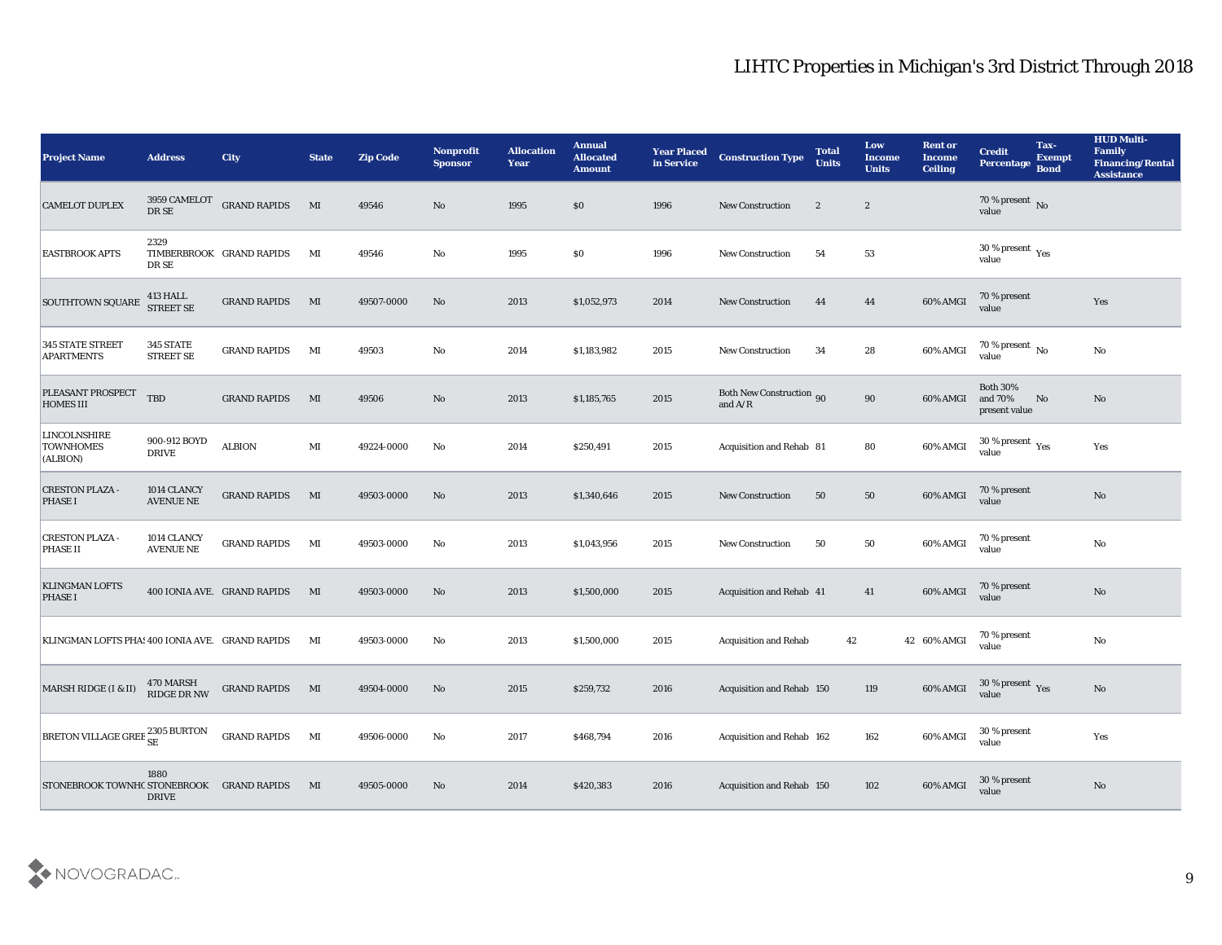| <b>Project Name</b>                                 | <b>Address</b>                  | <b>City</b>                 | <b>State</b>           | <b>Zip Code</b> | Nonprofit<br><b>Sponsor</b> | <b>Allocation</b><br><b>Year</b> | <b>Annual</b><br><b>Allocated</b><br><b>Amount</b> | <b>Year Placed</b><br>in Service | <b>Construction Type</b>                     | <b>Total</b><br><b>Units</b> | Low<br><b>Income</b><br><b>Units</b> | <b>Rent or</b><br><b>Income</b><br><b>Ceiling</b> | <b>Credit</b><br>Percentage                 | Tax-<br><b>Exempt</b><br><b>Bond</b> | <b>HUD Multi-</b><br>Family<br><b>Financing/Rental</b><br><b>Assistance</b> |
|-----------------------------------------------------|---------------------------------|-----------------------------|------------------------|-----------------|-----------------------------|----------------------------------|----------------------------------------------------|----------------------------------|----------------------------------------------|------------------------------|--------------------------------------|---------------------------------------------------|---------------------------------------------|--------------------------------------|-----------------------------------------------------------------------------|
| <b>CAMELOT DUPLEX</b>                               | 3959 CAMELOT<br>DR SE           | <b>GRAND RAPIDS</b>         | MI                     | 49546           | No                          | 1995                             | \$0                                                | 1996                             | <b>New Construction</b>                      | $\mathbf{2}$                 | $\boldsymbol{2}$                     |                                                   | 70 % present No<br>value                    |                                      |                                                                             |
| <b>EASTBROOK APTS</b>                               | 2329<br>DR SE                   | TIMBERBROOK GRAND RAPIDS    | MI                     | 49546           | No                          | 1995                             | \$0                                                | 1996                             | <b>New Construction</b>                      | 54                           | 53                                   |                                                   | 30 % present $_{\rm Yes}$<br>value          |                                      |                                                                             |
| <b>SOUTHTOWN SQUARE</b>                             | 413 HALL<br><b>STREET SE</b>    | <b>GRAND RAPIDS</b>         | MI                     | 49507-0000      | No                          | 2013                             | \$1,052,973                                        | 2014                             | <b>New Construction</b>                      | 44                           | 44                                   | 60% AMGI                                          | 70 % present<br>value                       |                                      | Yes                                                                         |
| <b>345 STATE STREET</b><br><b>APARTMENTS</b>        | 345 STATE<br><b>STREET SE</b>   | <b>GRAND RAPIDS</b>         | MI                     | 49503           | No                          | 2014                             | \$1,183,982                                        | 2015                             | <b>New Construction</b>                      | 34                           | 28                                   | 60% AMGI                                          | 70 % present $\,$ No $\,$<br>value          |                                      | No                                                                          |
| PLEASANT PROSPECT<br><b>HOMES III</b>               | <b>TBD</b>                      | <b>GRAND RAPIDS</b>         | MI                     | 49506           | No                          | 2013                             | \$1,185,765                                        | 2015                             | <b>Both New Construction 90</b><br>and $A/R$ |                              | 90                                   | 60% AMGI                                          | <b>Both 30%</b><br>and 70%<br>present value | No                                   | No                                                                          |
| <b>LINCOLNSHIRE</b><br><b>TOWNHOMES</b><br>(ALBION) | 900-912 BOYD<br><b>DRIVE</b>    | <b>ALBION</b>               | MI                     | 49224-0000      | No                          | 2014                             | \$250,491                                          | 2015                             | Acquisition and Rehab 81                     |                              | 80                                   | 60% AMGI                                          | 30 % present $\gamma_{\rm e s}$<br>value    |                                      | Yes                                                                         |
| <b>CRESTON PLAZA -</b><br><b>PHASE I</b>            | 1014 CLANCY<br><b>AVENUE NE</b> | <b>GRAND RAPIDS</b>         | MI                     | 49503-0000      | No                          | 2013                             | \$1,340,646                                        | 2015                             | <b>New Construction</b>                      | 50                           | 50                                   | 60% AMGI                                          | 70 % present<br>value                       |                                      | No                                                                          |
| <b>CRESTON PLAZA</b><br><b>PHASE II</b>             | 1014 CLANCY<br><b>AVENUE NE</b> | <b>GRAND RAPIDS</b>         | MI                     | 49503-0000      | No                          | 2013                             | \$1,043,956                                        | 2015                             | <b>New Construction</b>                      | 50                           | 50                                   | 60% AMGI                                          | 70 % present<br>value                       |                                      | No                                                                          |
| <b>KLINGMAN LOFTS</b><br><b>PHASE I</b>             |                                 | 400 IONIA AVE. GRAND RAPIDS | MI                     | 49503-0000      | No                          | 2013                             | \$1,500,000                                        | 2015                             | <b>Acquisition and Rehab 41</b>              |                              | 41                                   | 60% AMGI                                          | 70 % present<br>value                       |                                      | No                                                                          |
| KLINGMAN LOFTS PHA! 400 IONIA AVE. GRAND RAPIDS     |                                 |                             | MI                     | 49503-0000      | No                          | 2013                             | \$1,500,000                                        | 2015                             | <b>Acquisition and Rehab</b>                 | 42                           |                                      | 42 60% AMGI                                       | 70 % present<br>value                       |                                      | No                                                                          |
| MARSH RIDGE (I & II)                                | 470 MARSH<br><b>RIDGE DR NW</b> | <b>GRAND RAPIDS</b>         | MI                     | 49504-0000      | No                          | 2015                             | \$259,732                                          | 2016                             | Acquisition and Rehab 150                    |                              | 119                                  | 60% AMGI                                          | 30 % present Yes<br>value                   |                                      | No                                                                          |
| BRETON VILLAGE GREE $_{\rm SE}^{2305}$ BURTON       |                                 | <b>GRAND RAPIDS</b>         | $\mathbf{M}\mathbf{I}$ | 49506-0000      | No                          | 2017                             | \$468,794                                          | 2016                             | Acquisition and Rehab 162                    |                              | 162                                  | 60% AMGI                                          | 30 % present<br>value                       |                                      | Yes                                                                         |
| STONEBROOK TOWNHC STONEBROOK GRAND RAPIDS           | 1880<br><b>DRIVE</b>            |                             | MI                     | 49505-0000      | No                          | 2014                             | \$420,383                                          | 2016                             | Acquisition and Rehab 150                    |                              | 102                                  | 60% AMGI                                          | 30 % present<br>value                       |                                      | No                                                                          |